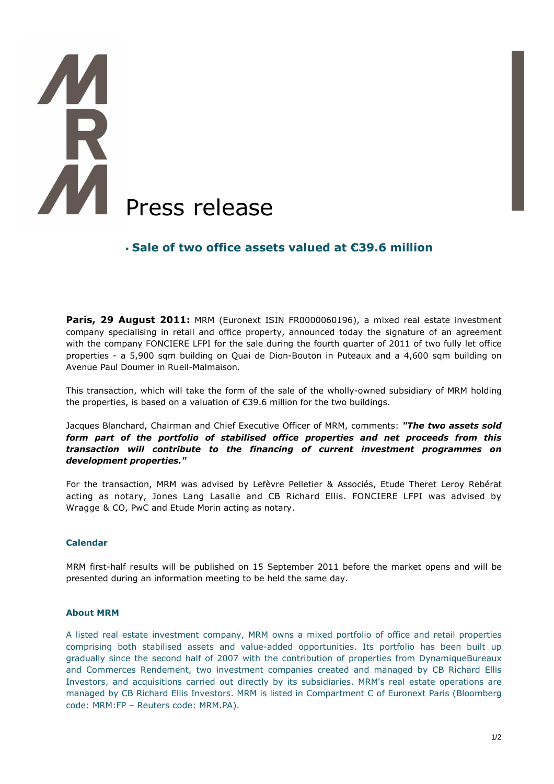# AM Press release

# **Sale of two office assets valued at €39.6 million**

Paris, 29 August 2011: MRM (Euronext ISIN FR0000060196), a mixed real estate investment company specialising in retail and office property, announced today the signature of an agreement with the company FONCIERE LFPI for the sale during the fourth quarter of 2011 of two fully let office properties - a 5,900 sqm building on Quai de Dion-Bouton in Puteaux and a 4,600 sqm building on Avenue Paul Doumer in Rueil-Malmaison.

This transaction, which will take the form of the sale of the wholly-owned subsidiary of MRM holding the properties, is based on a valuation of €39.6 million for the two buildings.

Jacques Blanchard, Chairman and Chief Executive Officer of MRM, comments: *"The two assets sold form part of the portfolio of stabilised office properties and net proceeds from this transaction will contribute to the financing of current investment programmes on development properties."* 

For the transaction, MRM was advised by Lefèvre Pelletier & Associés, Etude Theret Leroy Rebérat acting as notary, Jones Lang Lasalle and CB Richard Ellis. FONCIERE LFPI was advised by Wragge & CO, PwC and Etude Morin acting as notary.

## **Calendar**

MRM first-half results will be published on 15 September 2011 before the market opens and will be presented during an information meeting to be held the same day.

### **About MRM**

A listed real estate investment company, MRM owns a mixed portfolio of office and retail properties comprising both stabilised assets and value-added opportunities. Its portfolio has been built up gradually since the second half of 2007 with the contribution of properties from DynamiqueBureaux and Commerces Rendement, two investment companies created and managed by CB Richard Ellis Investors, and acquisitions carried out directly by its subsidiaries. MRM's real estate operations are managed by CB Richard Ellis Investors. MRM is listed in Compartment C of Euronext Paris (Bloomberg code: MRM:FP – Reuters code: MRM.PA).